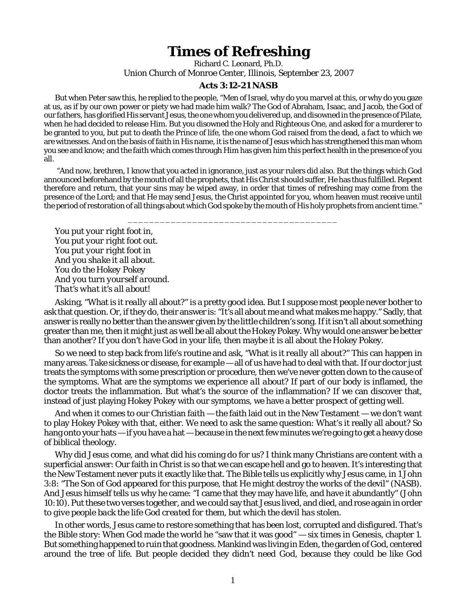## **Times of Refreshing**

Richard C. Leonard, Ph.D. Union Church of Monroe Center, Illinois, September 23, 2007

## **Acts 3:12-21 NASB**

But when Peter saw this, he replied to the people, "Men of Israel, why do you marvel at this, or why do you gaze at us, as if by our own power or piety we had made him walk? The God of Abraham, Isaac, and Jacob, the God of our fathers, has glorified His servant Jesus, the one whom you delivered up, and disowned in the presence of Pilate, when he had decided to release Him. But you disowned the Holy and Righteous One, and asked for a murderer to be granted to you, but put to death the Prince of life, the one whom God raised from the dead, a fact to which we are witnesses. And on the basis of faith in His name, it is the name of Jesus which has strengthened this man whom you see and know; and the faith which comes through Him has given him this perfect health in the presence of you all.

 "And now, brethren, I know that you acted in ignorance, just as your rulers did also. But the things which God announced beforehand by the mouth of all the prophets, that His Christ should suffer, He has thus fulfilled. Repent therefore and return, that your sins may be wiped away, in order that times of refreshing may come from the presence of the Lord; and that He may send Jesus, the Christ appointed for you, whom heaven must receive until the period of restoration of all things about which God spoke by the mouth of His holy prophets from ancient time."

\_\_\_\_\_\_\_\_\_\_\_\_\_\_\_\_\_\_\_\_\_\_\_\_\_\_\_\_\_\_\_\_\_\_\_\_\_\_\_

*You put your right foot in, You put your right foot out. You put your right foot in And you shake it all about. You do the Hokey Pokey And you turn yourself around. That's what it's all about!*

Asking, "What is it *really* all about?" is a pretty good idea. But I suppose most people never bother to ask that question. Or, if they do, their answer is: "It's all about *me* and what makes me happy." Sadly, that answer is really no better than the answer given by the little children's song. If it isn't all about something greater than *me*, then it might just as well be all about the Hokey Pokey. Why would one answer be better than another? If you don't have God in your life, then maybe it *is* all about the Hokey Pokey.

So we need to step back from life's routine and ask, "What is it *really* all about?" This can happen in many areas. Take sickness or disease, for example — all of us have had to deal with that. If our doctor just treats the symptoms with some prescription or procedure, then we've never gotten down to the *cause* of the symptoms. What are the symptoms we experience *all about?* If part of our body is inflamed, the doctor treats the inflammation. But what's the *source* of the inflammation? If we can discover that, instead of just playing Hokey Pokey with our symptoms, we have a better prospect of getting well.

And when it comes to our Christian faith — the faith laid out in the New Testament — we don't want to play Hokey Pokey with that, either. We need to ask the same question: What's it really all about? So hang onto your hats — if you have a hat — because in the next few minutes we're going to get a heavy dose of biblical theology.

Why did Jesus come, and what did his coming do for us? I think many Christians are content with a superficial answer: Our faith in Christ is so that we can escape hell and go to heaven. It's interesting that the New Testament never puts it exactly like that. The Bible tells us explicitly why Jesus came, in 1 John 3:8: "The Son of God appeared for this purpose, that He might destroy the works of the devil" (NASB). And Jesus himself tells us why he came: "I came that they may have life, and have it abundantly" (John 10:10). Put these two verses together, and we could say that Jesus lived, and died, and rose again in order to *give people back the life God created for them, but which the devil has stolen.*

In other words, Jesus came to *restore* something that has been lost, corrupted and disfigured. That's the Bible story: When God made the world he "saw that it was good" — six times in Genesis, chapter 1. But something happened to ruin that goodness. Mankind was living in Eden, the garden of God, centered around the tree of life. But people decided they didn't need God, because they could be like God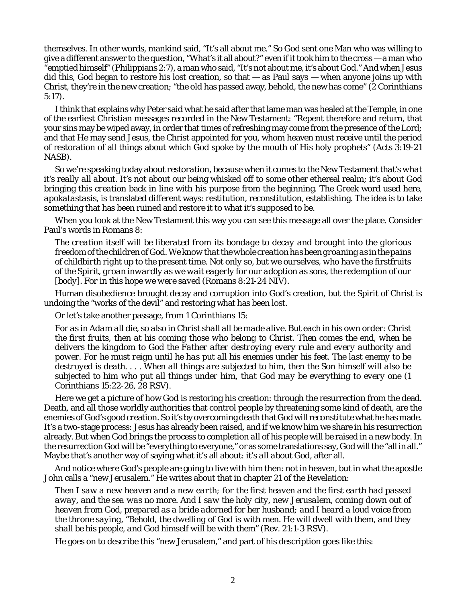themselves. In other words, mankind said, "It's all about me." So God sent one Man who was willing to give a different answer to the question, "What's it all about?" even if it took him to the cross — a man who "emptied himself" (Philippians 2:7), a man who said, "It's not about me, it's about God." And when Jesus did this, God began to restore his lost creation, so that  $-$  as Paul says  $-$  when anyone joins up with Christ, they're in the new creation; "the old has passed away, behold, the new has come" (2 Corinthians 5:17).

I think that explains why Peter said what he said after that lame man was healed at the Temple, in one of the earliest Christian messages recorded in the New Testament: "Repent therefore and return, that your sins may be wiped away, in order that times of refreshing may come from the presence of the Lord; and that He may send Jesus, the Christ appointed for you, whom heaven must receive until the period of restoration of all things about which God spoke by the mouth of His holy prophets" (Acts 3:19-21 NASB).

So we're speaking today about *restoration*, because when it comes to the New Testament *that's what it's really all about.* It's not about our being whisked off to some other ethereal realm; it's about God bringing *this creation* back in line with his purpose from the beginning. The Greek word used here, *apokatastasis*, is translated different ways: restitution, reconstitution, establishing. The idea is to take something that has been ruined and restore it to what it's supposed to be.

When you look at the New Testament this way you can see this message all over the place. Consider Paul's words in Romans 8:

*The creation itself will be liberated from its bondage to decay and brought into the glorious freedom of the children of God. We know that the whole creation has been groaning as in the pains of childbirth right up to the present time. Not only so, but we ourselves, who have the firstfruits of the Spirit, groan inwardly as we wait eagerly for our adoption as sons, the redemption of our [body]. For in this hope we were saved* (Romans 8:21-24 NIV).

Human disobedience brought decay and corruption into God's creation, but the Spirit of Christ is undoing the "works of the devil" and restoring what has been lost.

Or let's take another passage, from 1 Corinthians 15:

*For as in Adam all die, so also in Christ shall all be made alive. But each in his own order: Christ the first fruits, then at his coming those who belong to Christ. Then comes the end, when he delivers the kingdom to God the Father after destroying every rule and every authority and power. For he must reign until he has put all his enemies under his feet. The last enemy to be destroyed is death. . . . When all things are subjected to him, then the Son himself will also be subjected to him who put all things under him, that God may be everything to every one* (1 Corinthians 15:22-26, 28 RSV).

Here we get a picture of how God is restoring his creation: through the resurrection from the dead. Death, and all those worldly authorities that control people by threatening some kind of death, are the enemies of God's good creation. So it's by overcoming death that God will reconstitute what he has made. It's a two-stage process: Jesus has already been raised, and if we know him we share in his resurrection already. But when God brings the process to completion *all of his people* will be raised in a new body. In the resurrection God will be "everything to everyone," or as some translations say, God will the "all in all." Maybe that's another way of saying what it's all about: it's *all about God*, after all.

And notice where God's people are going to live with him then: not in heaven, but in what the apostle John calls a "new Jerusalem." He writes about that in chapter 21 of the Revelation:

*Then I saw a new heaven and a new earth; for the first heaven and the first earth had passed away, and the sea was no more. And I saw the holy city, new Jerusalem, coming down out of heaven from God, prepared as a bride adorned for her husband; and I heard a loud voice from the throne saying, "Behold, the dwelling of God is with men. He will dwell with them, and they shall be his people, and God himself will be with them"* (Rev. 21:1-3 RSV).

He goes on to describe this "new Jerusalem," and part of his description goes like this: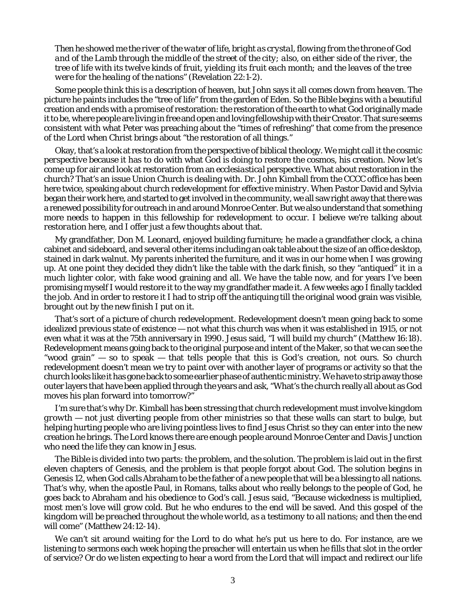*Then he showed me the river of the water of life, bright as crystal, flowing from the throne of God and of the Lamb through the middle of the street of the city; also, on either side of the river, the tree of life with its twelve kinds of fruit, yielding its fruit each month; and the leaves of the tree were for the healing of the nations"* (Revelation 22:1-2).

Some people think this is a description of heaven, but John says it all *comes down from heaven*. The picture he paints includes the "tree of life" from the garden of Eden. So the Bible begins with a beautiful creation and ends with a promise of restoration: the restoration of the earth to what God originally made it to be, where people are living in free and open and loving fellowship with their Creator. That sure seems consistent with what Peter was preaching about the "times of refreshing" that come from the presence of the Lord when Christ brings about "the restoration of all things."

Okay, that's a look at restoration from the perspective of biblical theology. We might call it the *cosmic perspective* because it has to do with what God is doing to restore the cosmos, his creation. Now let's come up for air and look at restoration from an *ecclesiastical perspective.* What about restoration in the church? That's an issue Union Church is dealing with. Dr. John Kimball from the CCCC office has been here twice, speaking about *church redevelopment for effective ministry.* When Pastor David and Sylvia began their work here, and started to get involved in the community, we all saw right away that there was a renewed possibility for outreach in and around Monroe Center. But we also understand that something more needs to happen in this fellowship for redevelopment to occur. I believe we're talking about *restoration* here, and I offer just a few thoughts about that.

My grandfather, Don M. Leonard, enjoyed building furniture; he made a grandfather clock, a china cabinet and sideboard, and several other items including an oak table about the size of an office desktop, stained in dark walnut. My parents inherited the furniture, and it was in our home when I was growing up. At one point they decided they didn't like the table with the dark finish, so they "antiqued" it in a much lighter color, with fake wood graining and all. We have the table now, and for years I've been promising myself I would restore it to the way my grandfather made it. A few weeks ago I finally tackled the job. And in order to restore it I had to strip off the antiquing till the original wood grain was visible, brought out by the new finish I put on it.

That's sort of a picture of church redevelopment. Redevelopment doesn't mean going back to some idealized previous state of existence — not what this church was when it was established in 1915, or not even what it was at the 75th anniversary in 1990. Jesus said, "I will build my church" (Matthew 16:18). Redevelopment means going back to the original purpose and intent of the Maker, so that we can see the "wood grain" — so to speak — that tells people that this is God's creation, not ours. So church redevelopment doesn't mean we try to paint over with another layer of programs or activity so that the church *looks like* it has gone back to some earlier phase of authentic ministry. We have to strip away those outer layers that have been applied through the years and ask, "What's the church really all about as God moves his plan forward into tomorrow?"

I'm sure that's why Dr. Kimball has been stressing that church redevelopment must involve *kingdom growth* — not just diverting people from other ministries so that these walls can start to bulge, but helping hurting people who are living pointless lives to find Jesus Christ so they can enter into the new creation he brings. The Lord knows there are enough people around Monroe Center and Davis Junction who need the life they can know in Jesus.

The Bible is divided into two parts: the problem, and the solution. The problem is laid out in the first eleven chapters of Genesis, and the problem is that people forgot about God. The solution begins in Genesis 12, when God calls Abraham to be the father of a new people that will be a blessing to all nations. That's why, when the apostle Paul, in Romans, talks about who really belongs to the people of God, he goes back to Abraham and his obedience to God's call. Jesus said, "Because wickedness is multiplied, most men's love will grow cold. But he who endures to the end will be saved. And *this gospel of the kingdom will be preached throughout the whole world, as a testimony to all nations*; and then the end will come" (Matthew 24:12-14).

We can't sit around waiting for the Lord to do what he's put *us* here to do. For instance, are we listening to sermons each week hoping the preacher will entertain us when he fills that slot in the order of service? Or do we listen expecting to hear a word from the Lord that will impact and redirect our life